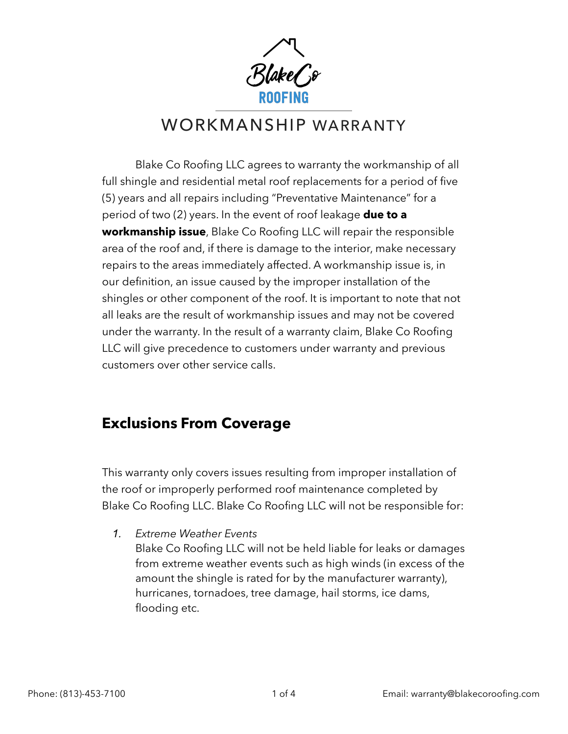'lake*l* }&

# WORKMANSHIP WARRANTY

 Blake Co Roofing LLC agrees to warranty the workmanship of all full shingle and residential metal roof replacements for a period of five (5) years and all repairs including "Preventative Maintenance" for a period of two (2) years. In the event of roof leakage **due to a workmanship issue**, Blake Co Roofing LLC will repair the responsible area of the roof and, if there is damage to the interior, make necessary repairs to the areas immediately affected. A workmanship issue is, in our definition, an issue caused by the improper installation of the shingles or other component of the roof. It is important to note that not all leaks are the result of workmanship issues and may not be covered under the warranty. In the result of a warranty claim, Blake Co Roofing LLC will give precedence to customers under warranty and previous customers over other service calls.

## **Exclusions From Coverage**

This warranty only covers issues resulting from improper installation of the roof or improperly performed roof maintenance completed by Blake Co Roofing LLC. Blake Co Roofing LLC will not be responsible for:

*1. Extreme Weather Events*

Blake Co Roofing LLC will not be held liable for leaks or damages from extreme weather events such as high winds (in excess of the amount the shingle is rated for by the manufacturer warranty), hurricanes, tornadoes, tree damage, hail storms, ice dams, flooding etc.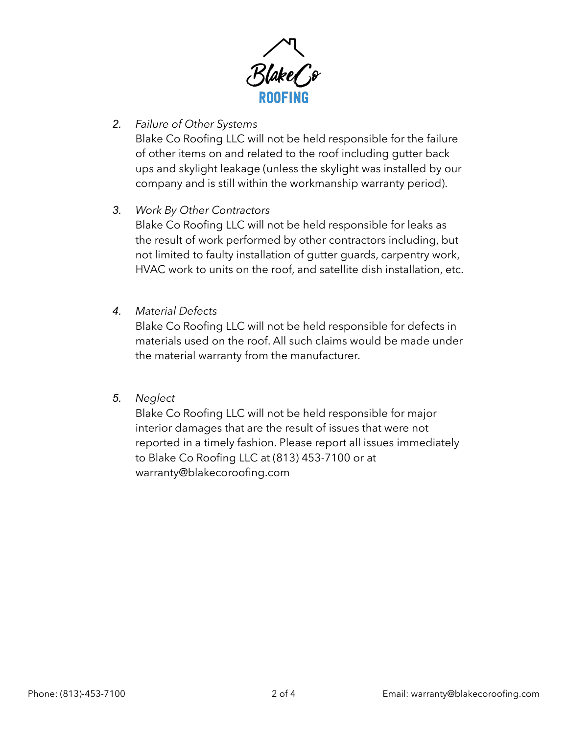

## *2. Failure of Other Systems*

Blake Co Roofing LLC will not be held responsible for the failure of other items on and related to the roof including gutter back ups and skylight leakage (unless the skylight was installed by our company and is still within the workmanship warranty period).

## *3. Work By Other Contractors*

Blake Co Roofing LLC will not be held responsible for leaks as the result of work performed by other contractors including, but not limited to faulty installation of gutter guards, carpentry work, HVAC work to units on the roof, and satellite dish installation, etc.

#### *4. Material Defects*

Blake Co Roofing LLC will not be held responsible for defects in materials used on the roof. All such claims would be made under the material warranty from the manufacturer.

#### *5. Neglect*

Blake Co Roofing LLC will not be held responsible for major interior damages that are the result of issues that were not reported in a timely fashion. Please report all issues immediately to Blake Co Roofing LLC at (813) 453-7100 or at warranty@blakecoroofing.com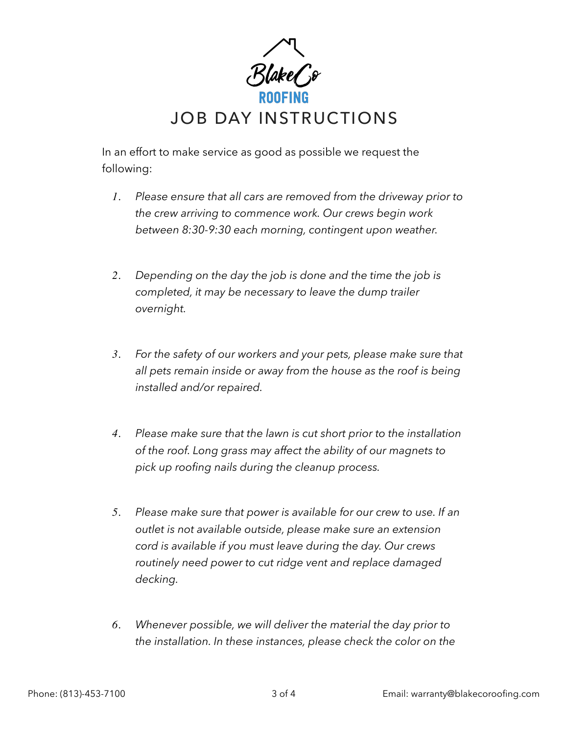

In an effort to make service as good as possible we request the following:

- *1. Please ensure that all cars are removed from the driveway prior to the crew arriving to commence work. Our crews begin work between 8:30-9:30 each morning, contingent upon weather.*
- *2. Depending on the day the job is done and the time the job is completed, it may be necessary to leave the dump trailer overnight.*
- *3. For the safety of our workers and your pets, please make sure that all pets remain inside or away from the house as the roof is being installed and/or repaired.*
- *4. Please make sure that the lawn is cut short prior to the installation of the roof. Long grass may affect the ability of our magnets to pick up roofing nails during the cleanup process.*
- *5. Please make sure that power is available for our crew to use. If an outlet is not available outside, please make sure an extension cord is available if you must leave during the day. Our crews routinely need power to cut ridge vent and replace damaged decking.*
- *6. Whenever possible, we will deliver the material the day prior to the installation. In these instances, please check the color on the*